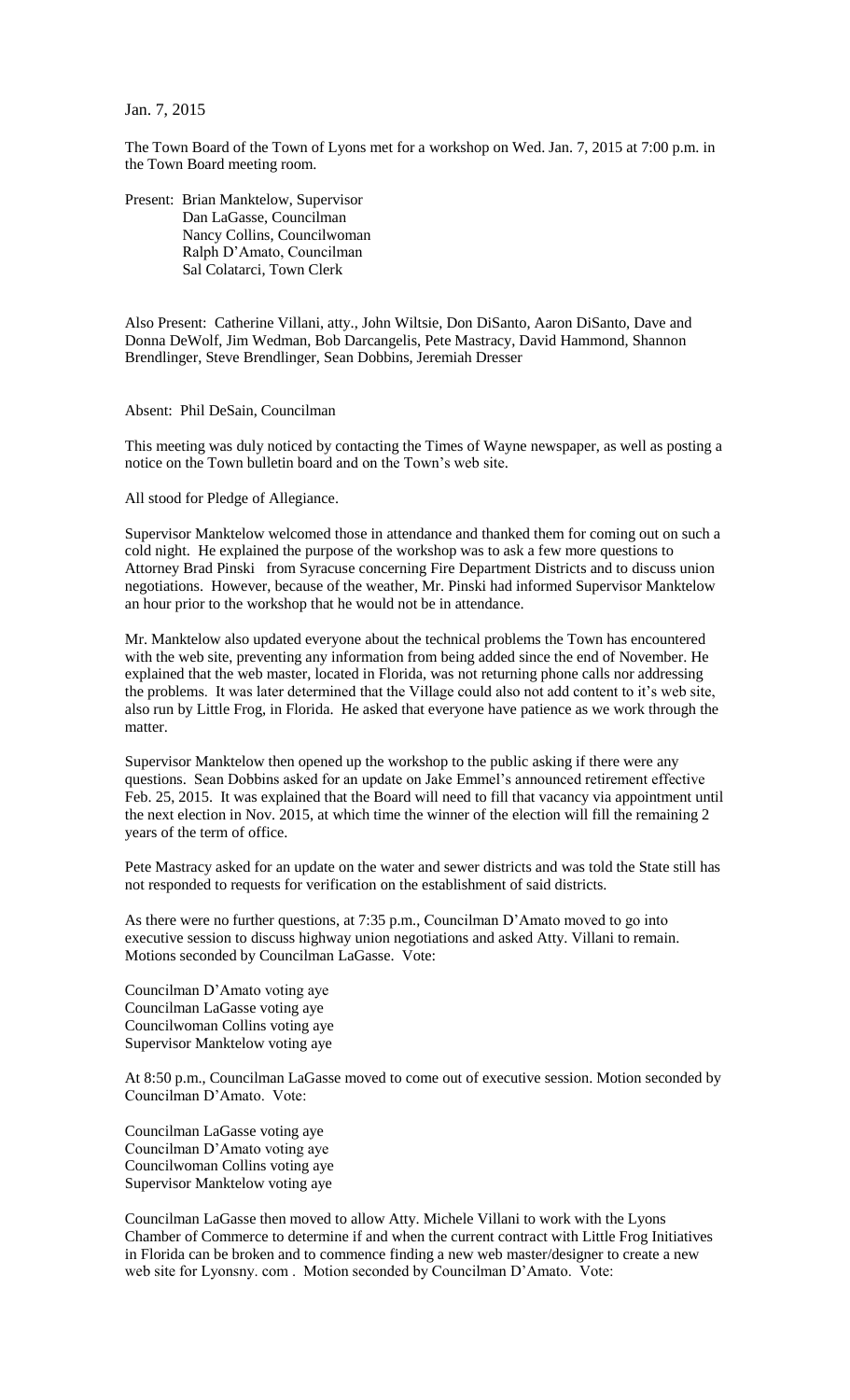Jan. 7, 2015

The Town Board of the Town of Lyons met for a workshop on Wed. Jan. 7, 2015 at 7:00 p.m. in the Town Board meeting room.

Present: Brian Manktelow, Supervisor Dan LaGasse, Councilman Nancy Collins, Councilwoman Ralph D'Amato, Councilman Sal Colatarci, Town Clerk

Also Present: Catherine Villani, atty., John Wiltsie, Don DiSanto, Aaron DiSanto, Dave and Donna DeWolf, Jim Wedman, Bob Darcangelis, Pete Mastracy, David Hammond, Shannon Brendlinger, Steve Brendlinger, Sean Dobbins, Jeremiah Dresser

Absent: Phil DeSain, Councilman

This meeting was duly noticed by contacting the Times of Wayne newspaper, as well as posting a notice on the Town bulletin board and on the Town's web site.

All stood for Pledge of Allegiance.

Supervisor Manktelow welcomed those in attendance and thanked them for coming out on such a cold night. He explained the purpose of the workshop was to ask a few more questions to Attorney Brad Pinski from Syracuse concerning Fire Department Districts and to discuss union negotiations. However, because of the weather, Mr. Pinski had informed Supervisor Manktelow an hour prior to the workshop that he would not be in attendance.

Mr. Manktelow also updated everyone about the technical problems the Town has encountered with the web site, preventing any information from being added since the end of November. He explained that the web master, located in Florida, was not returning phone calls nor addressing the problems. It was later determined that the Village could also not add content to it's web site, also run by Little Frog, in Florida. He asked that everyone have patience as we work through the matter.

Supervisor Manktelow then opened up the workshop to the public asking if there were any questions. Sean Dobbins asked for an update on Jake Emmel's announced retirement effective Feb. 25, 2015. It was explained that the Board will need to fill that vacancy via appointment until the next election in Nov. 2015, at which time the winner of the election will fill the remaining 2 years of the term of office.

Pete Mastracy asked for an update on the water and sewer districts and was told the State still has not responded to requests for verification on the establishment of said districts.

As there were no further questions, at 7:35 p.m., Councilman D'Amato moved to go into executive session to discuss highway union negotiations and asked Atty. Villani to remain. Motions seconded by Councilman LaGasse. Vote:

Councilman D'Amato voting aye Councilman LaGasse voting aye Councilwoman Collins voting aye Supervisor Manktelow voting aye

At 8:50 p.m., Councilman LaGasse moved to come out of executive session. Motion seconded by Councilman D'Amato. Vote:

Councilman LaGasse voting aye Councilman D'Amato voting aye Councilwoman Collins voting aye Supervisor Manktelow voting aye

Councilman LaGasse then moved to allow Atty. Michele Villani to work with the Lyons Chamber of Commerce to determine if and when the current contract with Little Frog Initiatives in Florida can be broken and to commence finding a new web master/designer to create a new web site for Lyonsny. com . Motion seconded by Councilman D'Amato. Vote: